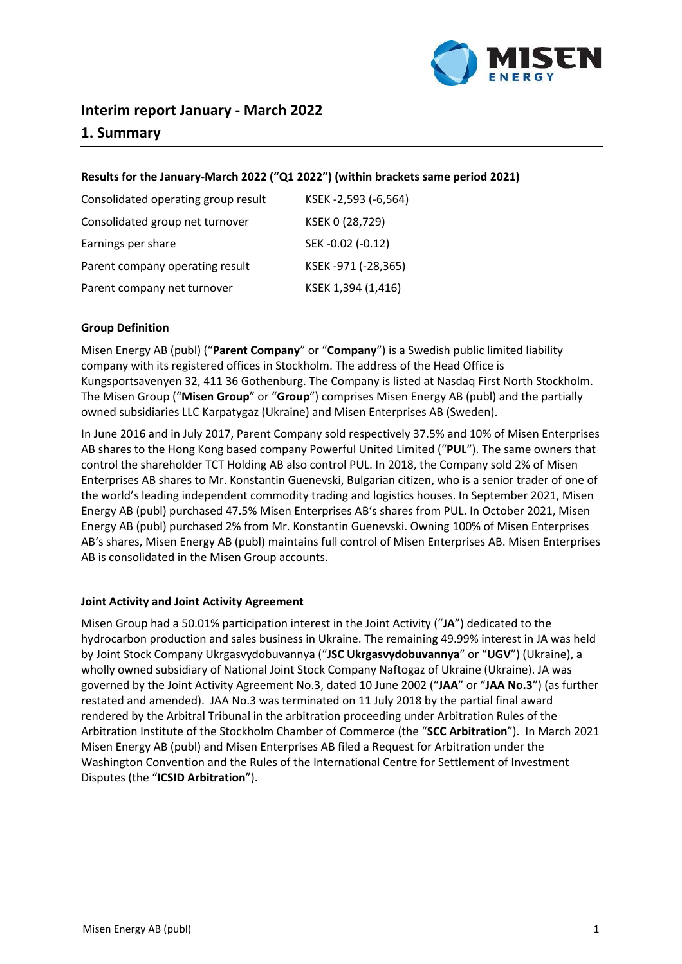

# **Interim report January - March 2022**

## **1. Summary**

#### **Results for the January-March 2022 ("Q1 2022") (within brackets same period 2021)**

| Consolidated operating group result | KSEK-2,593 (-6,564) |
|-------------------------------------|---------------------|
| Consolidated group net turnover     | KSEK 0 (28,729)     |
| Earnings per share                  | SEK-0.02 (-0.12)    |
| Parent company operating result     | KSEK-971 (-28,365)  |
| Parent company net turnover         | KSEK 1,394 (1,416)  |

#### **Group Definition**

Misen Energy AB (publ) ("**Parent Company**" or "**Company**") is a Swedish public limited liability company with its registered offices in Stockholm. The address of the Head Office is Kungsportsavenyen 32, 411 36 Gothenburg. The Company is listed at Nasdaq First North Stockholm. The Misen Group ("**Misen Group**" or "**Group**") comprises Misen Energy AB (publ) and the partially owned subsidiaries LLC Karpatygaz (Ukraine) and Misen Enterprises AB (Sweden).

In June 2016 and in July 2017, Parent Company sold respectively 37.5% and 10% of Misen Enterprises AB shares to the Hong Kong based company Powerful United Limited ("**PUL**"). The same owners that control the shareholder TCT Holding AB also control PUL. In 2018, the Company sold 2% of Misen Enterprises AB shares to Mr. Konstantin Guenevski, Bulgarian citizen, who is a senior trader of one of the world's leading independent commodity trading and logistics houses. In September 2021, Misen Energy AB (publ) purchased 47.5% Misen Enterprises AB's shares from PUL. In October 2021, Misen Energy AB (publ) purchased 2% from Mr. Konstantin Guenevski. Owning 100% of Misen Enterprises AB's shares, Misen Energy AB (publ) maintains full control of Misen Enterprises AB. Misen Enterprises AB is consolidated in the Misen Group accounts.

#### **Joint Activity and Joint Activity Agreement**

Misen Group had a 50.01% participation interest in the Joint Activity ("**JA**") dedicated to the hydrocarbon production and sales business in Ukraine. The remaining 49.99% interest in JA was held by Joint Stock Company Ukrgasvydobuvannya ("**JSC Ukrgasvydobuvannya**" or "**UGV**") (Ukraine), a wholly owned subsidiary of National Joint Stock Company Naftogaz of Ukraine (Ukraine). JA was governed by the Joint Activity Agreement No.3, dated 10 June 2002 ("**JAA**" or "**JAA No.3**") (as further restated and amended). JAA No.3 was terminated on 11 July 2018 by the partial final award rendered by the Arbitral Tribunal in the arbitration proceeding under Arbitration Rules of the Arbitration Institute of the Stockholm Chamber of Commerce (the "**SCC Arbitration**"). In March 2021 Misen Energy AB (publ) and Misen Enterprises AB filed a Request for Arbitration under the Washington Convention and the Rules of the International Centre for Settlement of Investment Disputes (the "**ICSID Arbitration**").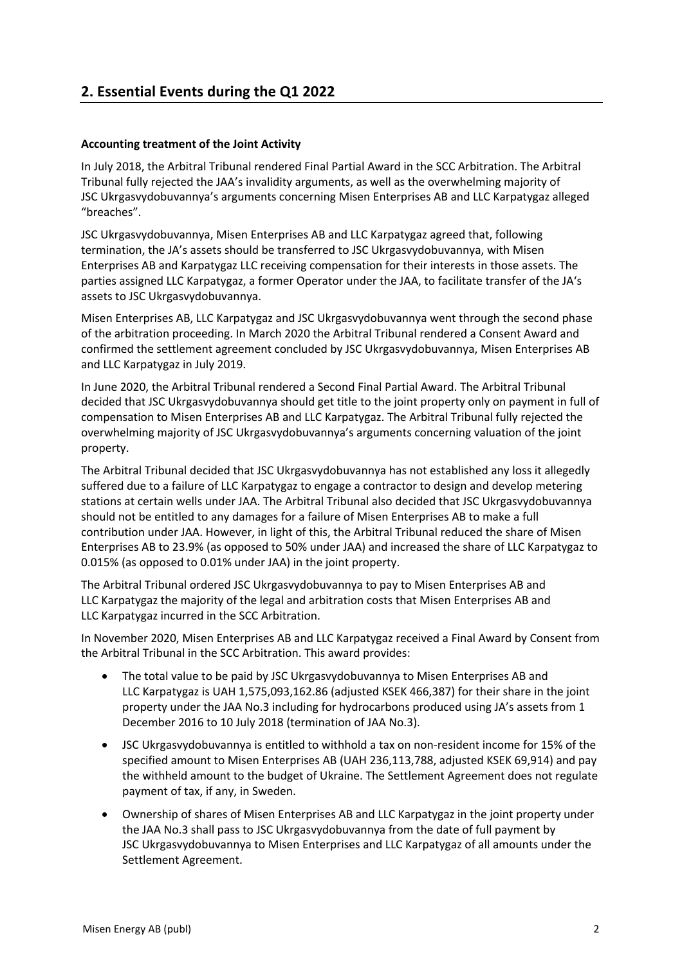# **2. Essential Events during the Q1 2022**

## **Accounting treatment of the Joint Activity**

In July 2018, the Arbitral Tribunal rendered Final Partial Award in the SCC Arbitration. The Arbitral Tribunal fully rejected the JAA's invalidity arguments, as well as the overwhelming majority of JSC Ukrgasvydobuvannya's arguments concerning Misen Enterprises AB and LLC Karpatygaz alleged "breaches".

JSC Ukrgasvydobuvannya, Misen Enterprises AB and LLC Karpatygaz agreed that, following termination, the JA's assets should be transferred to JSC Ukrgasvydobuvannya, with Misen Enterprises AB and Karpatygaz LLC receiving compensation for their interests in those assets. The parties assigned LLC Karpatygaz, a former Operator under the JAA, to facilitate transfer of the JA's assets to JSC Ukrgasvydobuvannya.

Misen Enterprises AB, LLC Karpatygaz and JSC Ukrgasvydobuvannya went through the second phase of the arbitration proceeding. In March 2020 the Arbitral Tribunal rendered a Consent Award and confirmed the settlement agreement concluded by JSC Ukrgasvydobuvannya, Misen Enterprises AB and LLC Karpatygaz in July 2019.

In June 2020, the Arbitral Tribunal rendered a Second Final Partial Award. The Arbitral Tribunal decided that JSC Ukrgasvydobuvannya should get title to the joint property only on payment in full of compensation to Misen Enterprises AB and LLC Karpatygaz. The Arbitral Tribunal fully rejected the overwhelming majority of JSC Ukrgasvydobuvannya's arguments concerning valuation of the joint property.

The Arbitral Tribunal decided that JSC Ukrgasvydobuvannya has not established any loss it allegedly suffered due to a failure of LLC Karpatygaz to engage a contractor to design and develop metering stations at certain wells under JAA. The Arbitral Tribunal also decided that JSC Ukrgasvydobuvannya should not be entitled to any damages for a failure of Misen Enterprises AB to make a full contribution under JAA. However, in light of this, the Arbitral Tribunal reduced the share of Misen Enterprises AB to 23.9% (as opposed to 50% under JAA) and increased the share of LLC Karpatygaz to 0.015% (as opposed to 0.01% under JAA) in the joint property.

The Arbitral Tribunal ordered JSC Ukrgasvydobuvannya to pay to Misen Enterprises AB and LLC Karpatygaz the majority of the legal and arbitration costs that Misen Enterprises AB and LLC Karpatygaz incurred in the SCC Arbitration.

In November 2020, Misen Enterprises AB and LLC Karpatygaz received a Final Award by Consent from the Arbitral Tribunal in the SCC Arbitration. This award provides:

- The total value to be paid by JSC Ukrgasvydobuvannya to Misen Enterprises AB and LLC Karpatygaz is UAH 1,575,093,162.86 (adjusted KSEK 466,387) for their share in the joint property under the JAA No.3 including for hydrocarbons produced using JA's assets from 1 December 2016 to 10 July 2018 (termination of JAA No.3).
- JSC Ukrgasvydobuvannya is entitled to withhold a tax on non-resident income for 15% of the specified amount to Misen Enterprises AB (UAH 236,113,788, adjusted KSEK 69,914) and pay the withheld amount to the budget of Ukraine. The Settlement Agreement does not regulate payment of tax, if any, in Sweden.
- Ownership of shares of Misen Enterprises AB and LLC Karpatygaz in the joint property under the JAA No.3 shall pass to JSC Ukrgasvydobuvannya from the date of full payment by JSC Ukrgasvydobuvannya to Misen Enterprises and LLC Karpatygaz of all amounts under the Settlement Agreement.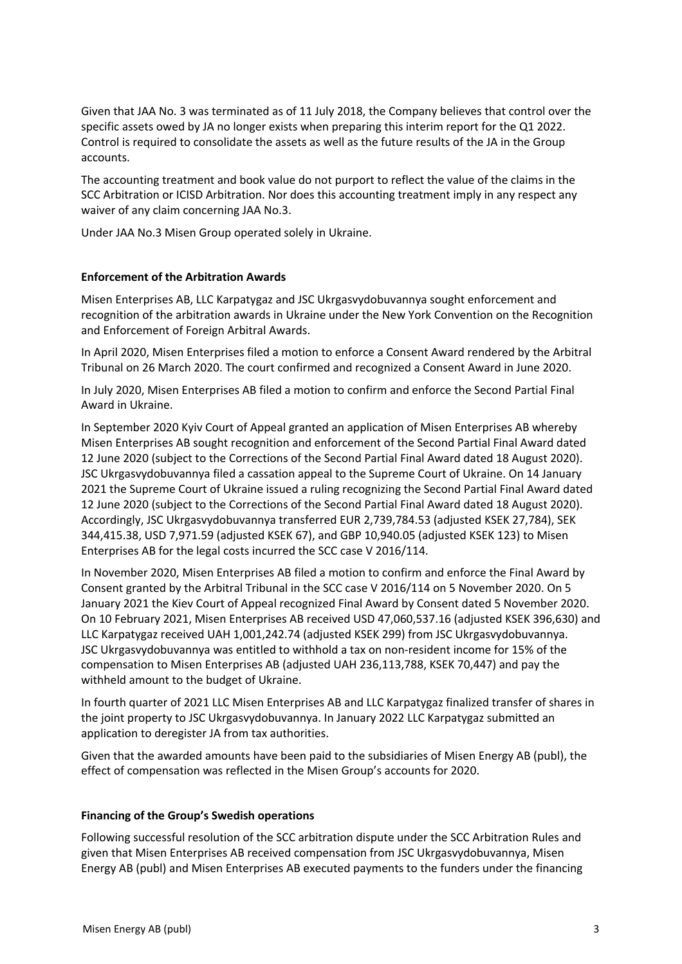Given that JAA No. 3 was terminated as of 11 July 2018, the Company believes that control over the specific assets owed by JA no longer exists when preparing this interim report for the Q1 2022. Control is required to consolidate the assets as well as the future results of the JA in the Group accounts.

The accounting treatment and book value do not purport to reflect the value of the claims in the SCC Arbitration or ICISD Arbitration. Nor does this accounting treatment imply in any respect any waiver of any claim concerning JAA No.3.

Under JAA No.3 Misen Group operated solely in Ukraine.

#### **Enforcement of the Arbitration Awards**

Misen Enterprises AB, LLC Karpatygaz and JSC Ukrgasvydobuvannya sought enforcement and recognition of the arbitration awards in Ukraine under the New York Convention on the Recognition and Enforcement of Foreign Arbitral Awards.

In April 2020, Misen Enterprises filed a motion to enforce a Consent Award rendered by the Arbitral Tribunal on 26 March 2020. The court confirmed and recognized a Consent Award in June 2020.

In July 2020, Misen Enterprises AB filed a motion to confirm and enforce the Second Partial Final Award in Ukraine.

In September 2020 Kyiv Court of Appeal granted an application of Misen Enterprises AB whereby Misen Enterprises AB sought recognition and enforcement of the Second Partial Final Award dated 12 June 2020 (subject to the Corrections of the Second Partial Final Award dated 18 August 2020). JSC Ukrgasvydobuvannya filed a cassation appeal to the Supreme Court of Ukraine. On 14 January 2021 the Supreme Court of Ukraine issued a ruling recognizing the Second Partial Final Award dated 12 June 2020 (subject to the Corrections of the Second Partial Final Award dated 18 August 2020). Accordingly, JSC Ukrgasvydobuvannya transferred EUR 2,739,784.53 (adjusted KSEK 27,784), SEK 344,415.38, USD 7,971.59 (adjusted KSEK 67), and GBP 10,940.05 (adjusted KSEK 123) to Misen Enterprises AB for the legal costs incurred the SCC case V 2016/114.

In November 2020, Misen Enterprises AB filed a motion to confirm and enforce the Final Award by Consent granted by the Arbitral Tribunal in the SCC case V 2016/114 on 5 November 2020. On 5 January 2021 the Kiev Court of Appeal recognized Final Award by Consent dated 5 November 2020. On 10 February 2021, Misen Enterprises AB received USD 47,060,537.16 (adjusted KSEK 396,630) and LLC Karpatygaz received UAH 1,001,242.74 (adjusted KSEK 299) from JSC Ukrgasvydobuvannya. JSC Ukrgasvydobuvannya was entitled to withhold a tax on non-resident income for 15% of the compensation to Misen Enterprises AB (adjusted UAH 236,113,788, KSEK 70,447) and pay the withheld amount to the budget of Ukraine.

In fourth quarter of 2021 LLC Misen Enterprises AB and LLC Karpatygaz finalized transfer of shares in the joint property to JSC Ukrgasvydobuvannya. In January 2022 LLC Karpatygaz submitted an application to deregister JA from tax authorities.

Given that the awarded amounts have been paid to the subsidiaries of Misen Energy AB (publ), the effect of compensation was reflected in the Misen Group's accounts for 2020.

#### **Financing of the Group's Swedish operations**

Following successful resolution of the SCC arbitration dispute under the SCC Arbitration Rules and given that Misen Enterprises AB received compensation from JSC Ukrgasvydobuvannya, Misen Energy AB (publ) and Misen Enterprises AB executed payments to the funders under the financing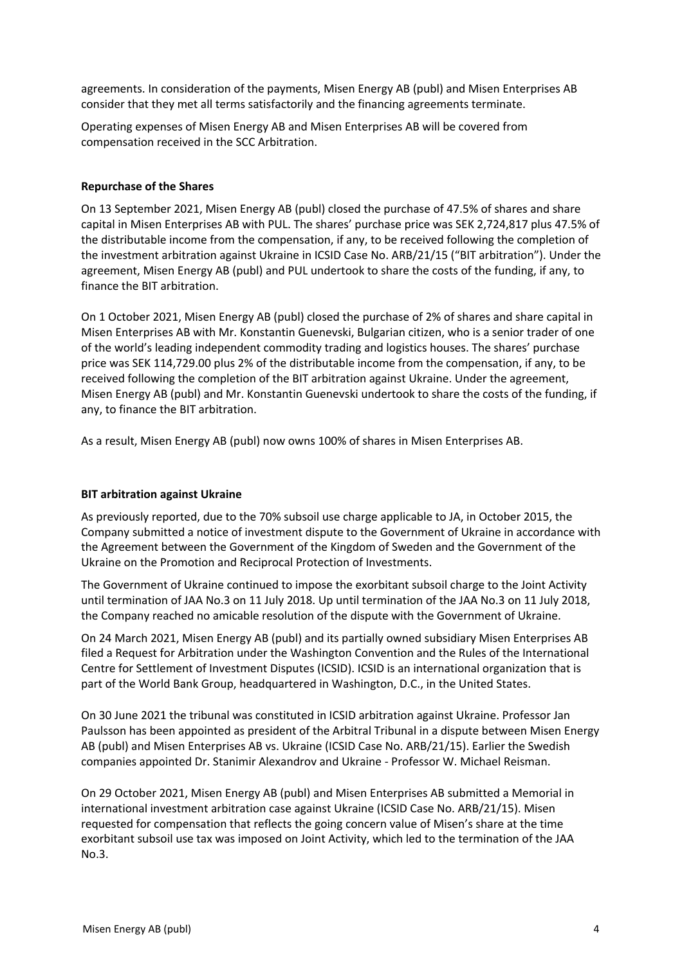agreements. In consideration of the payments, Misen Energy AB (publ) and Misen Enterprises AB consider that they met all terms satisfactorily and the financing agreements terminate.

Operating expenses of Misen Energy AB and Misen Enterprises AB will be covered from compensation received in the SCC Arbitration.

#### **Repurchase of the Shares**

On 13 September 2021, Misen Energy AB (publ) closed the purchase of 47.5% of shares and share capital in Misen Enterprises AB with PUL. The shares' purchase price was SEK 2,724,817 plus 47.5% of the distributable income from the compensation, if any, to be received following the completion of the investment arbitration against Ukraine in ICSID Case No. ARB/21/15 ("BIT arbitration"). Under the agreement, Misen Energy AB (publ) and PUL undertook to share the costs of the funding, if any, to finance the BIT arbitration.

On 1 October 2021, Misen Energy AB (publ) closed the purchase of 2% of shares and share capital in Misen Enterprises AB with Mr. Konstantin Guenevski, Bulgarian citizen, who is a senior trader of one of the world's leading independent commodity trading and logistics houses. The shares' purchase price was SEK 114,729.00 plus 2% of the distributable income from the compensation, if any, to be received following the completion of the BIT arbitration against Ukraine. Under the agreement, Misen Energy AB (publ) and Mr. Konstantin Guenevski undertook to share the costs of the funding, if any, to finance the BIT arbitration.

As a result, Misen Energy AB (publ) now owns 100% of shares in Misen Enterprises AB.

#### **BIT arbitration against Ukraine**

As previously reported, due to the 70% subsoil use charge applicable to JA, in October 2015, the Company submitted a notice of investment dispute to the Government of Ukraine in accordance with the Agreement between the Government of the Kingdom of Sweden and the Government of the Ukraine on the Promotion and Reciprocal Protection of Investments.

The Government of Ukraine continued to impose the exorbitant subsoil charge to the Joint Activity until termination of JAA No.3 on 11 July 2018. Up until termination of the JAA No.3 on 11 July 2018, the Company reached no amicable resolution of the dispute with the Government of Ukraine.

On 24 March 2021, Misen Energy AB (publ) and its partially owned subsidiary Misen Enterprises AB filed a Request for Arbitration under the Washington Convention and the Rules of the International Centre for Settlement of Investment Disputes (ICSID). ICSID is an international organization that is part of the World Bank Group, headquartered in Washington, D.C., in the United States.

On 30 June 2021 the tribunal was constituted in ICSID arbitration against Ukraine. Professor Jan Paulsson has been appointed as president of the Arbitral Tribunal in a dispute between Misen Energy AB (publ) and Misen Enterprises AB vs. Ukraine (ICSID Case No. ARB/21/15). Earlier the Swedish companies appointed Dr. Stanimir Alexandrov and Ukraine - Professor W. Michael Reisman.

On 29 October 2021, Misen Energy AB (publ) and Misen Enterprises AB submitted a Memorial in international investment arbitration case against Ukraine (ICSID Case No. ARB/21/15). Misen requested for compensation that reflects the going concern value of Misen's share at the time exorbitant subsoil use tax was imposed on Joint Activity, which led to the termination of the JAA No.3.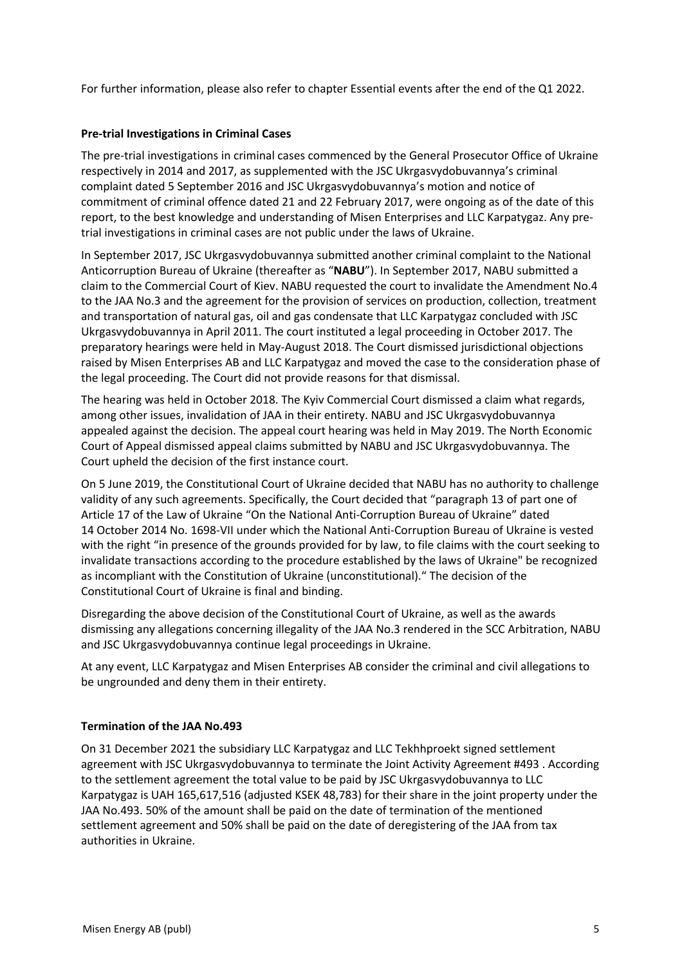For further information, please also refer to chapter Essential events after the end of the Q1 2022.

## **Pre-trial Investigations in Criminal Cases**

The pre-trial investigations in criminal cases commenced by the General Prosecutor Office of Ukraine respectively in 2014 and 2017, as supplemented with the JSC Ukrgasvydobuvannya's criminal complaint dated 5 September 2016 and JSC Ukrgasvydobuvannya's motion and notice of commitment of criminal offence dated 21 and 22 February 2017, were ongoing as of the date of this report, to the best knowledge and understanding of Misen Enterprises and LLC Karpatygaz. Any pretrial investigations in criminal cases are not public under the laws of Ukraine.

In September 2017, JSC Ukrgasvydobuvannya submitted another criminal complaint to the National Anticorruption Bureau of Ukraine (thereafter as "**NABU**"). In September 2017, NABU submitted a claim to the Commercial Court of Kiev. NABU requested the court to invalidate the Amendment No.4 to the JAA No.3 and the agreement for the provision of services on production, collection, treatment and transportation of natural gas, oil and gas condensate that LLC Karpatygaz concluded with JSC Ukrgasvydobuvannya in April 2011. The court instituted a legal proceeding in October 2017. The preparatory hearings were held in May-August 2018. The Court dismissed jurisdictional objections raised by Misen Enterprises AB and LLC Karpatygaz and moved the case to the consideration phase of the legal proceeding. The Court did not provide reasons for that dismissal.

The hearing was held in October 2018. The Kyiv Commercial Court dismissed a claim what regards, among other issues, invalidation of JAA in their entirety. NABU and JSC Ukrgasvydobuvannya appealed against the decision. The appeal court hearing was held in May 2019. The North Economic Court of Appeal dismissed appeal claims submitted by NABU and JSC Ukrgasvydobuvannya. The Court upheld the decision of the first instance court.

On 5 June 2019, the Constitutional Court of Ukraine decided that NABU has no authority to challenge validity of any such agreements. Specifically, the Court decided that "paragraph 13 of part one of Article 17 of the Law of Ukraine "On the National Anti-Corruption Bureau of Ukraine" dated 14 October 2014 No. 1698-VІІ under which the National Anti-Corruption Bureau of Ukraine is vested with the right "in presence of the grounds provided for by law, to file claims with the court seeking to invalidate transactions according to the procedure established by the laws of Ukraine" be recognized as incompliant with the Constitution of Ukraine (unconstitutional)." The decision of the Constitutional Court of Ukraine is final and binding.

Disregarding the above decision of the Constitutional Court of Ukraine, as well as the awards dismissing any allegations concerning illegality of the JAA No.3 rendered in the SCC Arbitration, NABU and JSC Ukrgasvydobuvannya continue legal proceedings in Ukraine.

At any event, LLC Karpatygaz and Misen Enterprises AB consider the criminal and civil allegations to be ungrounded and deny them in their entirety.

#### **Termination of the JAA No.493**

On 31 December 2021 the subsidiary LLC Karpatygaz and LLC Tekhhproekt signed settlement agreement with JSC Ukrgasvydobuvannya to terminate the Joint Activity Agreement #493 . According to the settlement agreement the total value to be paid by JSC Ukrgasvydobuvannya to LLC Karpatygaz is UAH 165,617,516 (adjusted KSEK 48,783) for their share in the joint property under the JAA No.493. 50% of the amount shall be paid on the date of termination of the mentioned settlement agreement and 50% shall be paid on the date of deregistering of the JAA from tax authorities in Ukraine.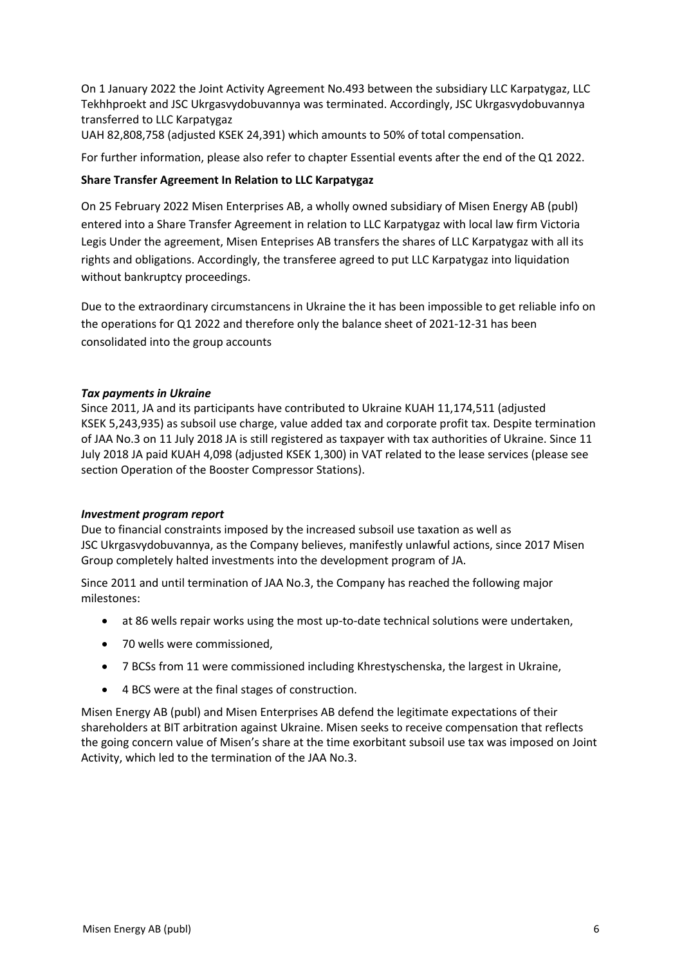On 1 January 2022 the Joint Activity Agreement No.493 between the subsidiary LLC Karpatygaz, LLC Tekhhproekt and JSC Ukrgasvydobuvannya was terminated. Accordingly, JSC Ukrgasvydobuvannya transferred to LLC Karpatygaz

UAH 82,808,758 (adjusted KSEK 24,391) which amounts to 50% of total compensation.

For further information, please also refer to chapter Essential events after the end of the Q1 2022.

## **Share Transfer Agreement In Relation to LLC Karpatygaz**

On 25 February 2022 Misen Enterprises AB, a wholly owned subsidiary of Misen Energy AB (publ) entered into a Share Transfer Agreement in relation to LLC Karpatygaz with local law firm Victoria Legis Under the agreement, Misen Enteprises AB transfers the shares of LLC Karpatygaz with all its rights and obligations. Accordingly, the transferee agreed to put LLC Karpatygaz into liquidation without bankruptcy proceedings.

Due to the extraordinary circumstancens in Ukraine the it has been impossible to get reliable info on the operations for Q1 2022 and therefore only the balance sheet of 2021-12-31 has been consolidated into the group accounts

## *Tax payments in Ukraine*

Since 2011, JA and its participants have contributed to Ukraine KUAH 11,174,511 (adjusted KSEK 5,243,935) as subsoil use charge, value added tax and corporate profit tax. Despite termination of JAA No.3 on 11 July 2018 JA is still registered as taxpayer with tax authorities of Ukraine. Since 11 July 2018 JA paid KUAH 4,098 (adjusted KSEK 1,300) in VAT related to the lease services (please see section Operation of the Booster Compressor Stations).

#### *Investment program report*

Due to financial constraints imposed by the increased subsoil use taxation as well as JSC Ukrgasvydobuvannya, as the Company believes, manifestly unlawful actions, since 2017 Misen Group completely halted investments into the development program of JA.

Since 2011 and until termination of JAA No.3, the Company has reached the following major milestones:

- at 86 wells repair works using the most up-to-date technical solutions were undertaken,
- 70 wells were commissioned,
- 7 BCSs from 11 were commissioned including Khrestyschenska, the largest in Ukraine,
- 4 BCS were at the final stages of construction.

Misen Energy AB (publ) and Misen Enterprises AB defend the legitimate expectations of their shareholders at BIT arbitration against Ukraine. Misen seeks to receive compensation that reflects the going concern value of Misen's share at the time exorbitant subsoil use tax was imposed on Joint Activity, which led to the termination of the JAA No.3.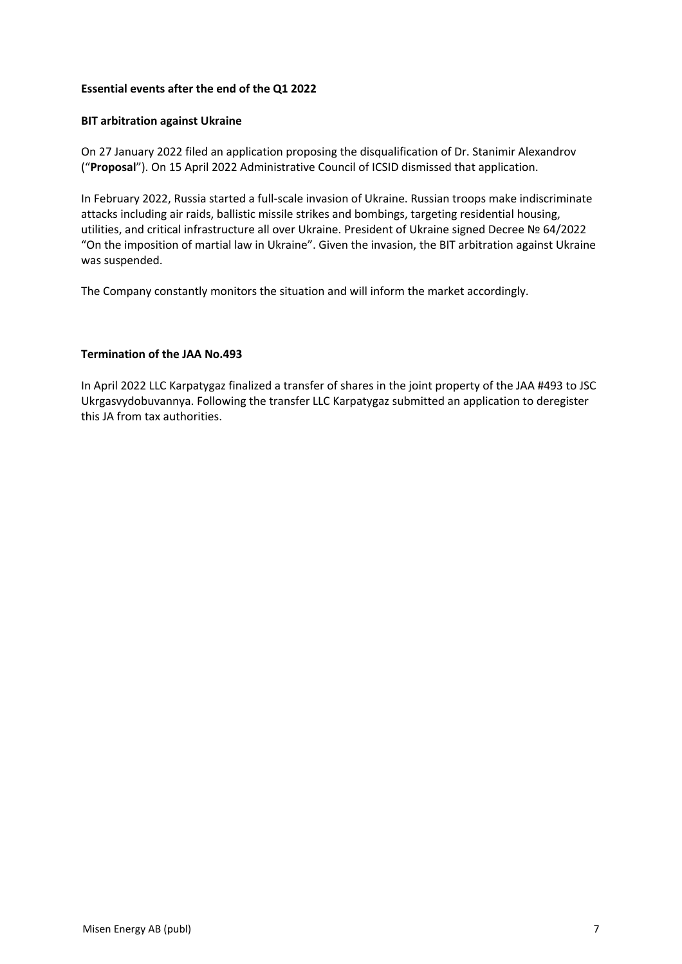#### **Essential events after the end of the Q1 2022**

#### **BIT arbitration against Ukraine**

On 27 January 2022 filed an application proposing the disqualification of Dr. Stanimir Alexandrov ("**Proposal**"). On 15 April 2022 Administrative Council of ICSID dismissed that application.

In February 2022, Russia started a full-scale invasion of Ukraine. Russian troops make indiscriminate attacks including air raids, ballistic missile strikes and bombings, targeting residential housing, utilities, and critical infrastructure all over Ukraine. President of Ukraine signed Decree № 64/2022 "On the imposition of martial law in Ukraine". Given the invasion, the BIT arbitration against Ukraine was suspended.

The Company constantly monitors the situation and will inform the market accordingly.

#### **Termination of the JAA No.493**

In April 2022 LLC Karpatygaz finalized a transfer of shares in the joint property of the JAA #493 to JSC Ukrgasvydobuvannya. Following the transfer LLC Karpatygaz submitted an application to deregister this JA from tax authorities.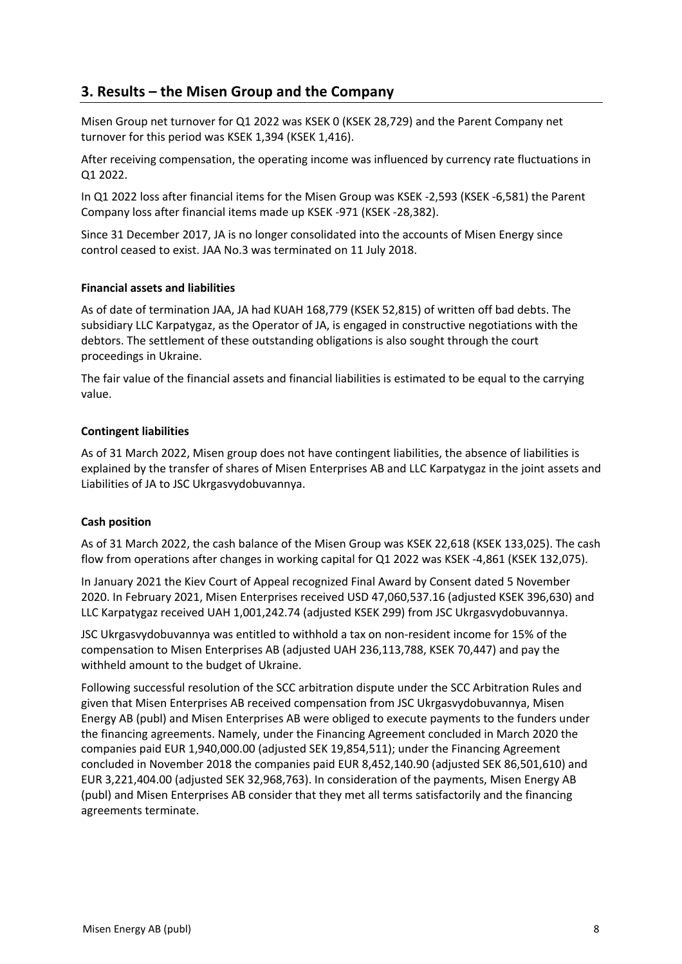# **3. Results – the Misen Group and the Company**

Misen Group net turnover for Q1 2022 was KSEK 0 (KSEK 28,729) and the Parent Company net turnover for this period was KSEK 1,394 (KSEK 1,416).

After receiving compensation, the operating income was influenced by currency rate fluctuations in Q1 2022.

In Q1 2022 loss after financial items for the Misen Group was KSEK -2,593 (KSEK -6,581) the Parent Company loss after financial items made up KSEK -971 (KSEK -28,382).

Since 31 December 2017, JA is no longer consolidated into the accounts of Misen Energy since control ceased to exist. JAA No.3 was terminated on 11 July 2018.

#### **Financial assets and liabilities**

As of date of termination JAA, JA had KUAH 168,779 (KSEK 52,815) of written off bad debts. The subsidiary LLC Karpatygaz, as the Operator of JA, is engaged in constructive negotiations with the debtors. The settlement of these outstanding obligations is also sought through the court proceedings in Ukraine.

The fair value of the financial assets and financial liabilities is estimated to be equal to the carrying value.

## **Contingent liabilities**

As of 31 March 2022, Misen group does not have contingent liabilities, the absence of liabilities is explained by the transfer of shares of Misen Enterprises AB and LLC Karpatygaz in the joint assets and Liabilities of JA to JSC Ukrgasvydobuvannya.

#### **Cash position**

As of 31 March 2022, the cash balance of the Misen Group was KSEK 22,618 (KSEK 133,025). The cash flow from operations after changes in working capital for Q1 2022 was KSEK -4,861 (KSEK 132,075).

In January 2021 the Kiev Court of Appeal recognized Final Award by Consent dated 5 November 2020. In February 2021, Misen Enterprises received USD 47,060,537.16 (adjusted KSEK 396,630) and LLC Karpatygaz received UAH 1,001,242.74 (adjusted KSEK 299) from JSC Ukrgasvydobuvannya.

JSC Ukrgasvydobuvannya was entitled to withhold a tax on non-resident income for 15% of the compensation to Misen Enterprises AB (adjusted UAH 236,113,788, KSEK 70,447) and pay the withheld amount to the budget of Ukraine.

Following successful resolution of the SCC arbitration dispute under the SCC Arbitration Rules and given that Misen Enterprises AB received compensation from JSC Ukrgasvydobuvannya, Misen Energy AB (publ) and Misen Enterprises AB were obliged to execute payments to the funders under the financing agreements. Namely, under the Financing Agreement concluded in March 2020 the companies paid EUR 1,940,000.00 (adjusted SEK 19,854,511); under the Financing Agreement concluded in November 2018 the companies paid EUR 8,452,140.90 (adjusted SEK 86,501,610) and EUR 3,221,404.00 (adjusted SEK 32,968,763). In consideration of the payments, Misen Energy AB (publ) and Misen Enterprises AB consider that they met all terms satisfactorily and the financing agreements terminate.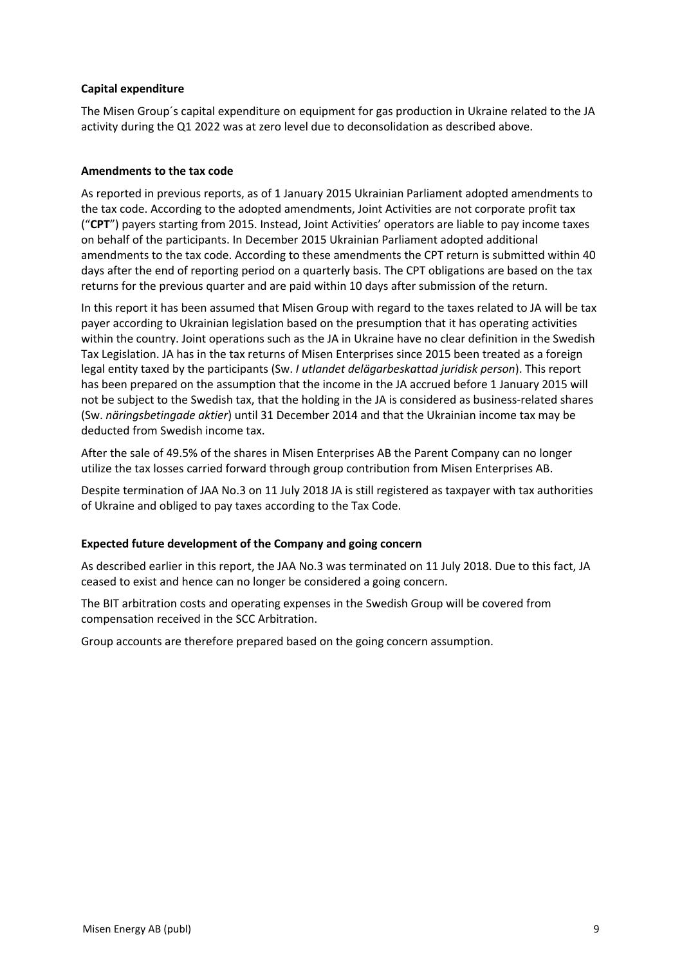## **Capital expenditure**

The Misen Group´s capital expenditure on equipment for gas production in Ukraine related to the JA activity during the Q1 2022 was at zero level due to deconsolidation as described above.

#### **Amendments to the tax code**

As reported in previous reports, as of 1 January 2015 Ukrainian Parliament adopted amendments to the tax code. According to the adopted amendments, Joint Activities are not corporate profit tax ("**CPT**") payers starting from 2015. Instead, Joint Activities' operators are liable to pay income taxes on behalf of the participants. In December 2015 Ukrainian Parliament adopted additional amendments to the tax code. According to these amendments the CPT return is submitted within 40 days after the end of reporting period on a quarterly basis. The CPT obligations are based on the tax returns for the previous quarter and are paid within 10 days after submission of the return.

In this report it has been assumed that Misen Group with regard to the taxes related to JA will be tax payer according to Ukrainian legislation based on the presumption that it has operating activities within the country. Joint operations such as the JA in Ukraine have no clear definition in the Swedish Tax Legislation. JA has in the tax returns of Misen Enterprises since 2015 been treated as a foreign legal entity taxed by the participants (Sw. *I utlandet delägarbeskattad juridisk person*). This report has been prepared on the assumption that the income in the JA accrued before 1 January 2015 will not be subject to the Swedish tax, that the holding in the JA is considered as business-related shares (Sw. *näringsbetingade aktier*) until 31 December 2014 and that the Ukrainian income tax may be deducted from Swedish income tax.

After the sale of 49.5% of the shares in Misen Enterprises AB the Parent Company can no longer utilize the tax losses carried forward through group contribution from Misen Enterprises AB.

Despite termination of JAA No.3 on 11 July 2018 JA is still registered as taxpayer with tax authorities of Ukraine and obliged to pay taxes according to the Tax Code.

#### **Expected future development of the Company and going concern**

As described earlier in this report, the JAA No.3 was terminated on 11 July 2018. Due to this fact, JA ceased to exist and hence can no longer be considered a going concern.

The BIT arbitration costs and operating expenses in the Swedish Group will be covered from compensation received in the SCC Arbitration.

Group accounts are therefore prepared based on the going concern assumption.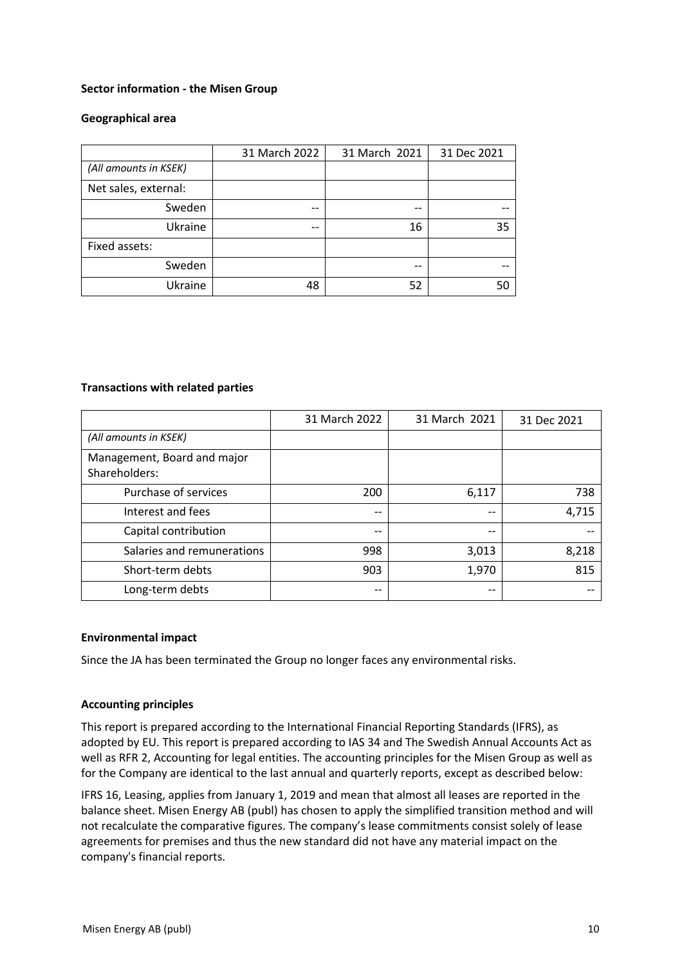#### **Sector information - the Misen Group**

#### **Geographical area**

|                       | 31 March 2022 | 31 March 2021 | 31 Dec 2021 |
|-----------------------|---------------|---------------|-------------|
| (All amounts in KSEK) |               |               |             |
| Net sales, external:  |               |               |             |
| Sweden                | --            | --            |             |
| Ukraine               | --            | 16            | 35          |
| Fixed assets:         |               |               |             |
| Sweden                |               | --            |             |
| Ukraine               | 48            | 52            | 50          |

#### **Transactions with related parties**

|                                              | 31 March 2022 | 31 March 2021 | 31 Dec 2021 |
|----------------------------------------------|---------------|---------------|-------------|
| (All amounts in KSEK)                        |               |               |             |
| Management, Board and major<br>Shareholders: |               |               |             |
| Purchase of services                         | 200           | 6,117         | 738         |
| Interest and fees                            | $ -$          | $- -$         | 4,715       |
| Capital contribution                         | $-$           | $-$           |             |
| Salaries and remunerations                   | 998           | 3,013         | 8,218       |
| Short-term debts                             | 903           | 1,970         | 815         |
| Long-term debts                              | --            |               |             |

#### **Environmental impact**

Since the JA has been terminated the Group no longer faces any environmental risks.

#### **Accounting principles**

This report is prepared according to the International Financial Reporting Standards (IFRS), as adopted by EU. This report is prepared according to IAS 34 and The Swedish Annual Accounts Act as well as RFR 2, Accounting for legal entities. The accounting principles for the Misen Group as well as for the Company are identical to the last annual and quarterly reports, except as described below:

IFRS 16, Leasing, applies from January 1, 2019 and mean that almost all leases are reported in the balance sheet. Misen Energy AB (publ) has chosen to apply the simplified transition method and will not recalculate the comparative figures. The company's lease commitments consist solely of lease agreements for premises and thus the new standard did not have any material impact on the company's financial reports.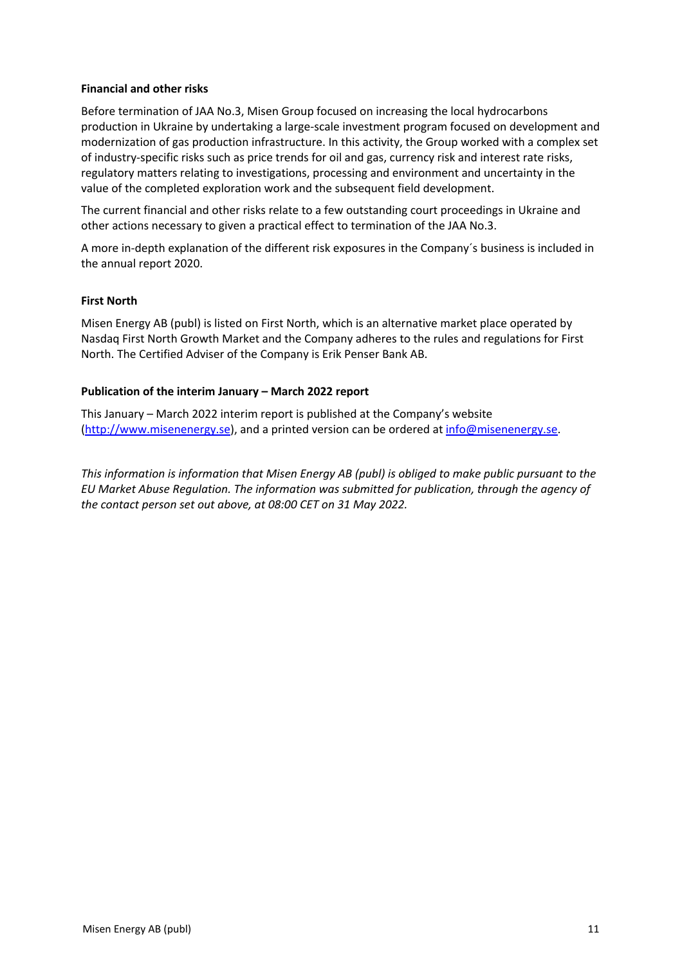#### **Financial and other risks**

Before termination of JAA No.3, Misen Group focused on increasing the local hydrocarbons production in Ukraine by undertaking a large-scale investment program focused on development and modernization of gas production infrastructure. In this activity, the Group worked with a complex set of industry-specific risks such as price trends for oil and gas, currency risk and interest rate risks, regulatory matters relating to investigations, processing and environment and uncertainty in the value of the completed exploration work and the subsequent field development.

The current financial and other risks relate to a few outstanding court proceedings in Ukraine and other actions necessary to given a practical effect to termination of the JAA No.3.

A more in-depth explanation of the different risk exposures in the Company´s business is included in the annual report 2020.

#### **First North**

Misen Energy AB (publ) is listed on First North, which is an alternative market place operated by Nasdaq First North Growth Market and the Company adheres to the rules and regulations for First North. The Certified Adviser of the Company is Erik Penser Bank AB.

#### **Publication of the interim January – March 2022 report**

This January – March 2022 interim report is published at the Company's website (http://www.misenenergy.se), and a printed version can be ordered at info@misenenergy.se.

*This information is information that Misen Energy AB (publ) is obliged to make public pursuant to the EU Market Abuse Regulation. The information was submitted for publication, through the agency of the contact person set out above, at 08:00 CET on 31 May 2022.*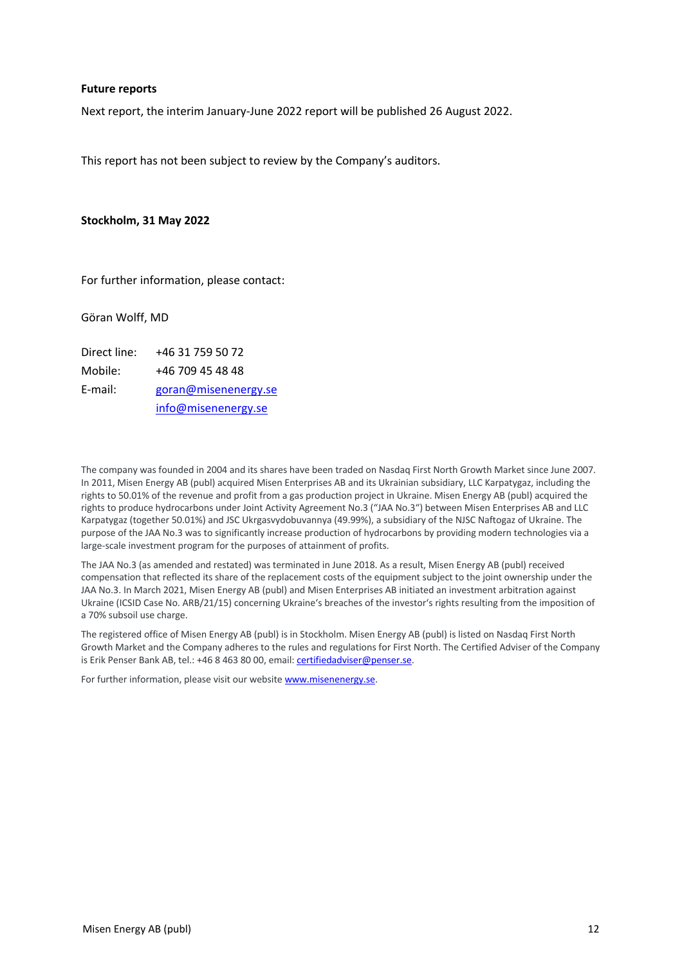#### **Future reports**

Next report, the interim January-June 2022 report will be published 26 August 2022.

This report has not been subject to review by the Company's auditors.

#### **Stockholm, 31 May 2022**

For further information, please contact:

Göran Wolff, MD

| Direct line: | +46 31 759 50 72     |
|--------------|----------------------|
| Mobile:      | +46 709 45 48 48     |
| E-mail:      | goran@misenenergy.se |
|              | info@misenenergy.se  |

The company was founded in 2004 and its shares have been traded on Nasdaq First North Growth Market since June 2007. In 2011, Misen Energy AB (publ) acquired Misen Enterprises AB and its Ukrainian subsidiary, LLC Karpatygaz, including the rights to 50.01% of the revenue and profit from a gas production project in Ukraine. Misen Energy AB (publ) acquired the rights to produce hydrocarbons under Joint Activity Agreement No.3 ("JAA No.3") between Misen Enterprises AB and LLC Karpatygaz (together 50.01%) and JSC Ukrgasvydobuvannya (49.99%), a subsidiary of the NJSC Naftogaz of Ukraine. The purpose of the JAA No.3 was to significantly increase production of hydrocarbons by providing modern technologies via a large-scale investment program for the purposes of attainment of profits.

The JAA No.3 (as amended and restated) was terminated in June 2018. As a result, Misen Energy AB (publ) received compensation that reflected its share of the replacement costs of the equipment subject to the joint ownership under the JAA No.3. In March 2021, Misen Energy AB (publ) and Misen Enterprises AB initiated an investment arbitration against Ukraine (ICSID Case No. ARB/21/15) concerning Ukraine's breaches of the investor's rights resulting from the imposition of a 70% subsoil use charge.

The registered office of Misen Energy AB (publ) is in Stockholm. Misen Energy AB (publ) is listed on Nasdaq First North Growth Market and the Company adheres to the rules and regulations for First North. The Certified Adviser of the Company is Erik Penser Bank AB, tel.: +46 8 463 80 00, email: certifiedadviser@penser.se.

For further information, please visit our website www.misenenergy.se.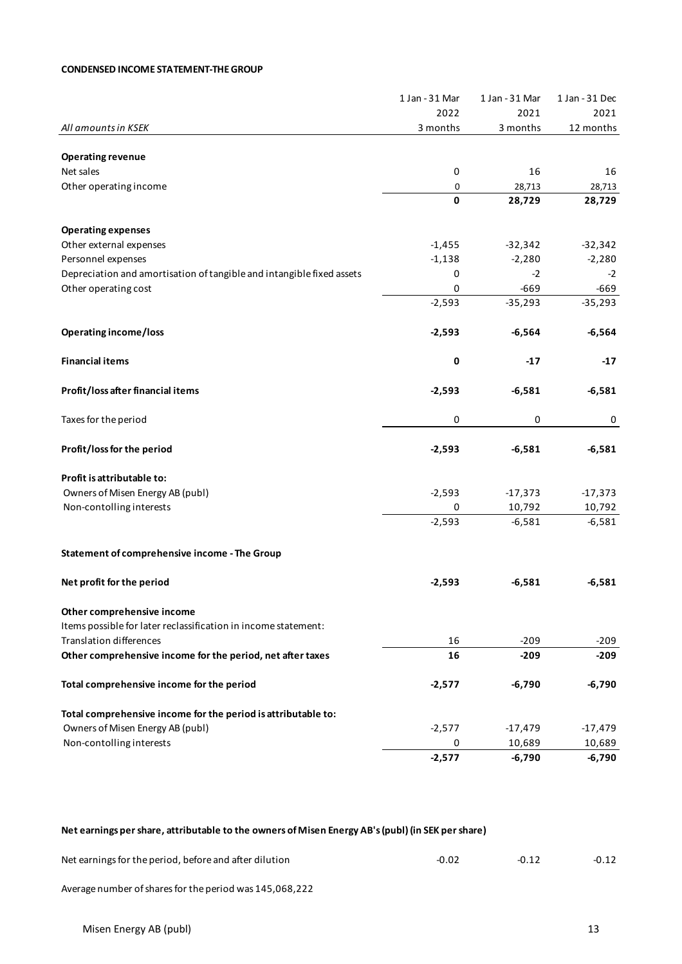#### **CONDENSED INCOME STATEMENT-THE GROUP**

|                                                                       | 1 Jan - 31 Mar | 1 Jan - 31 Mar | 1 Jan - 31 Dec |
|-----------------------------------------------------------------------|----------------|----------------|----------------|
|                                                                       | 2022           | 2021           | 2021           |
| All amounts in KSEK                                                   | 3 months       | 3 months       | 12 months      |
| <b>Operating revenue</b>                                              |                |                |                |
| Net sales                                                             | 0              | 16             | 16             |
| Other operating income                                                | 0              | 28,713         | 28,713         |
|                                                                       | $\mathbf 0$    | 28,729         | 28,729         |
| <b>Operating expenses</b>                                             |                |                |                |
| Other external expenses                                               | $-1,455$       | $-32,342$      | $-32,342$      |
| Personnel expenses                                                    | $-1,138$       | $-2,280$       | $-2,280$       |
| Depreciation and amortisation of tangible and intangible fixed assets | 0              | $-2$           | $-2$           |
| Other operating cost                                                  | 0              | $-669$         | $-669$         |
|                                                                       | $-2,593$       | $-35,293$      | $-35,293$      |
| <b>Operating income/loss</b>                                          | $-2,593$       | $-6,564$       | $-6,564$       |
|                                                                       |                |                |                |
| <b>Financial items</b>                                                | 0              | $-17$          | $-17$          |
| Profit/loss after financial items                                     | $-2,593$       | $-6,581$       | $-6,581$       |
| Taxes for the period                                                  | 0              | 0              | 0              |
| Profit/loss for the period                                            | $-2,593$       | $-6,581$       | $-6,581$       |
| Profit is attributable to:                                            |                |                |                |
| Owners of Misen Energy AB (publ)                                      | $-2,593$       | $-17,373$      | $-17,373$      |
| Non-contolling interests                                              | 0              | 10,792         | 10,792         |
|                                                                       | $-2,593$       | $-6,581$       | $-6,581$       |
| Statement of comprehensive income - The Group                         |                |                |                |
| Net profit for the period                                             | $-2,593$       | $-6,581$       | $-6,581$       |
|                                                                       |                |                |                |
| Other comprehensive income                                            |                |                |                |
| Items possible for later reclassification in income statement:        |                |                |                |
| <b>Translation differences</b>                                        | 16             | $-209$         | $-209$         |
| Other comprehensive income for the period, net after taxes            | 16             | $-209$         | -209           |
| Total comprehensive income for the period                             | $-2,577$       | $-6,790$       | $-6,790$       |
| Total comprehensive income for the period is attributable to:         |                |                |                |
| Owners of Misen Energy AB (publ)                                      | $-2,577$       | $-17,479$      | $-17,479$      |
| Non-contolling interests                                              | 0              | 10,689         | 10,689         |
|                                                                       | $-2,577$       | $-6,790$       | $-6,790$       |

## **Net earnings per share, attributable to the owners of Misen Energy AB's (publ) (in SEK per share)**

| Net earnings for the period, before and after dilution | $-0.02$ | $-0.12$ |
|--------------------------------------------------------|---------|---------|
|                                                        |         |         |

Average number of shares for the period was 145,068,222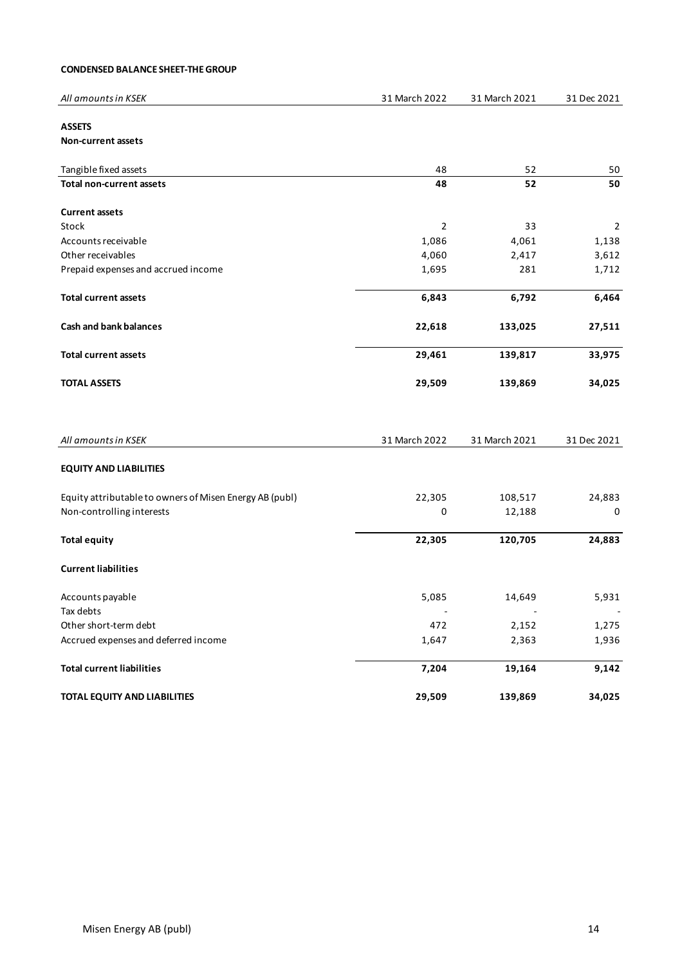| All amounts in KSEK | 12022<br>March | 2021<br>24.84<br>. March<br><u>J J</u> | : 2021<br>Dec |
|---------------------|----------------|----------------------------------------|---------------|
|                     |                |                                        |               |

## **ASSETS**

**Non-current assets**

| Tangible fixed assets                                   | 48            | 52                | 50             |
|---------------------------------------------------------|---------------|-------------------|----------------|
| <b>Total non-current assets</b>                         | 48            | 52                | 50             |
| <b>Current assets</b>                                   |               |                   |                |
| Stock                                                   | 2             | 33                | $\overline{2}$ |
| Accounts receivable                                     | 1,086         | 4,061             | 1,138          |
| Other receivables                                       | 4,060         | 2,417             | 3,612          |
| Prepaid expenses and accrued income                     | 1,695         | 281               | 1,712          |
| <b>Total current assets</b>                             | 6,843         | 6,792             | 6,464          |
| <b>Cash and bank balances</b>                           | 22,618        | 133,025           | 27,511         |
| <b>Total current assets</b>                             | 29,461        | 139,817           | 33,975         |
| <b>TOTAL ASSETS</b>                                     | 29,509        | 139,869           | 34,025         |
|                                                         |               |                   |                |
| All amounts in KSEK                                     | 31 March 2022 | 31 March 2021     | 31 Dec 2021    |
| <b>EQUITY AND LIABILITIES</b>                           |               |                   |                |
|                                                         |               |                   |                |
| Equity attributable to owners of Misen Energy AB (publ) | 22,305        |                   | 24,883         |
| Non-controlling interests                               | 0             | 108,517<br>12,188 | 0              |
| <b>Total equity</b>                                     | 22,305        | 120,705           | 24,883         |
| <b>Current liabilities</b>                              |               |                   |                |
| Accounts payable                                        | 5,085         | 14,649            | 5,931          |
| Tax debts                                               |               |                   |                |
| Other short-term debt                                   | 472           | 2,152             | 1,275          |
| Accrued expenses and deferred income                    | 1,647         | 2,363             | 1,936          |
| <b>Total current liabilities</b>                        | 7,204         | 19,164            | 9,142          |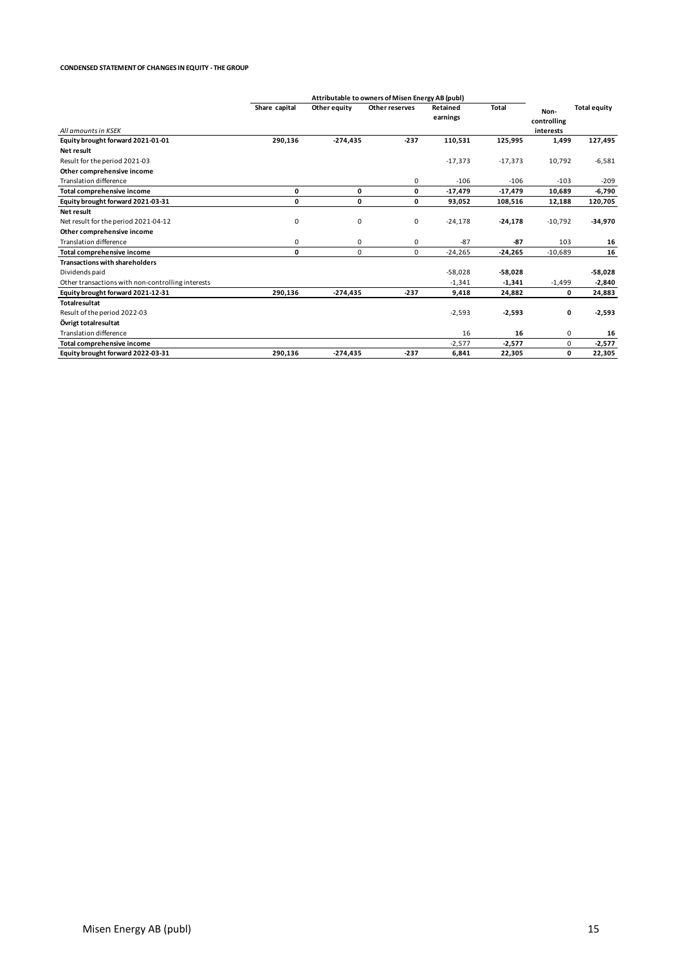#### **CONDENSED STATEMENT OF CHANGES IN EQUITY - THE GROUP**

|                                                   | Attributable to owners of Misen Energy AB (publ) |              |                |                      |              |                                  |                     |
|---------------------------------------------------|--------------------------------------------------|--------------|----------------|----------------------|--------------|----------------------------------|---------------------|
| All amounts in KSEK                               | Share capital                                    | Other equity | Other reserves | Retained<br>earnings | <b>Total</b> | Non-<br>controlling<br>interests | <b>Total equity</b> |
| Equity brought forward 2021-01-01                 | 290,136                                          | $-274,435$   | $-237$         | 110,531              | 125,995      | 1,499                            | 127,495             |
| Net result                                        |                                                  |              |                |                      |              |                                  |                     |
| Result for the period 2021-03                     |                                                  |              |                | $-17,373$            | $-17,373$    | 10,792                           | $-6,581$            |
| Other comprehensive income                        |                                                  |              |                |                      |              |                                  |                     |
| <b>Translation difference</b>                     |                                                  |              | 0              | $-106$               | $-106$       | $-103$                           | $-209$              |
| Total comprehensive income                        | 0                                                | 0            | 0              | $-17,479$            | $-17,479$    | 10,689                           | $-6,790$            |
| Equity brought forward 2021-03-31                 | 0                                                | 0            | 0              | 93,052               | 108,516      | 12,188                           | 120,705             |
| Net result                                        |                                                  |              |                |                      |              |                                  |                     |
| Net result for the period 2021-04-12              | 0                                                | 0            | 0              | $-24,178$            | $-24,178$    | $-10,792$                        | $-34,970$           |
| Other comprehensive income                        |                                                  |              |                |                      |              |                                  |                     |
| <b>Translation difference</b>                     | 0                                                | 0            | 0              | $-87$                | $-87$        | 103                              | 16                  |
| Total comprehensive income                        | 0                                                | 0            | 0              | $-24,265$            | -24,265      | $-10,689$                        | 16                  |
| <b>Transactions with shareholders</b>             |                                                  |              |                |                      |              |                                  |                     |
| Dividends paid                                    |                                                  |              |                | $-58,028$            | $-58,028$    |                                  | $-58,028$           |
| Other transactions with non-controlling interests |                                                  |              |                | $-1,341$             | $-1,341$     | $-1,499$                         | $-2,840$            |
| Equity brought forward 2021-12-31                 | 290,136                                          | $-274,435$   | $-237$         | 9,418                | 24,882       | 0                                | 24,883              |
| <b>Totalresultat</b>                              |                                                  |              |                |                      |              |                                  |                     |
| Result of the period 2022-03                      |                                                  |              |                | $-2,593$             | $-2,593$     | 0                                | $-2,593$            |
| Övrigt totalresultat                              |                                                  |              |                |                      |              |                                  |                     |
| <b>Translation difference</b>                     |                                                  |              |                | 16                   | 16           | 0                                | 16                  |
| Total comprehensive income                        |                                                  |              |                | $-2,577$             | $-2,577$     | 0                                | $-2,577$            |
| Equity brought forward 2022-03-31                 | 290,136                                          | $-274,435$   | $-237$         | 6,841                | 22,305       | 0                                | 22,305              |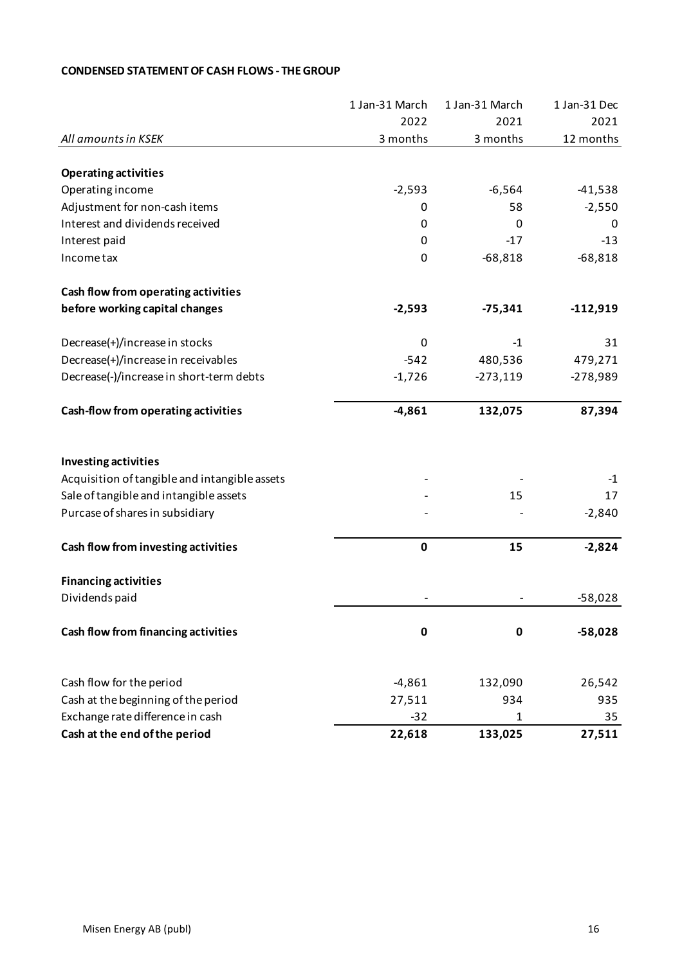|                                               | 1 Jan-31 March | 1 Jan-31 March | 1 Jan-31 Dec |
|-----------------------------------------------|----------------|----------------|--------------|
|                                               | 2022           | 2021           | 2021         |
| All amounts in KSEK                           | 3 months       | 3 months       | 12 months    |
|                                               |                |                |              |
| <b>Operating activities</b>                   |                |                |              |
| Operating income                              | $-2,593$       | $-6,564$       | $-41,538$    |
| Adjustment for non-cash items                 | 0              | 58             | $-2,550$     |
| Interest and dividends received               | 0              | 0              | 0            |
| Interest paid                                 | 0              | $-17$          | $-13$        |
| Income tax                                    | 0              | $-68,818$      | $-68,818$    |
| Cash flow from operating activities           |                |                |              |
| before working capital changes                | $-2,593$       | $-75,341$      | $-112,919$   |
| Decrease(+)/increase in stocks                | 0              | $-1$           | 31           |
| Decrease(+)/increase in receivables           | $-542$         | 480,536        | 479,271      |
| Decrease(-)/increase in short-term debts      | $-1,726$       | $-273,119$     | $-278,989$   |
| Cash-flow from operating activities           | $-4,861$       | 132,075        | 87,394       |
| <b>Investing activities</b>                   |                |                |              |
| Acquisition of tangible and intangible assets |                |                | $-1$         |
| Sale of tangible and intangible assets        |                | 15             | 17           |
| Purcase of shares in subsidiary               |                |                | $-2,840$     |
| Cash flow from investing activities           | $\mathbf 0$    | 15             | $-2,824$     |
| <b>Financing activities</b>                   |                |                |              |
| Dividends paid                                |                |                | $-58,028$    |
| Cash flow from financing activities           | $\mathbf 0$    | 0              | $-58,028$    |
| Cash flow for the period                      | $-4,861$       | 132,090        | 26,542       |
| Cash at the beginning of the period           | 27,511         | 934            | 935          |
| Exchange rate difference in cash              | $-32$          | 1              | 35           |
| Cash at the end of the period                 | 22,618         | 133,025        | 27,511       |

## **CONDENSED STATEMENT OF CASH FLOWS - THE GROUP**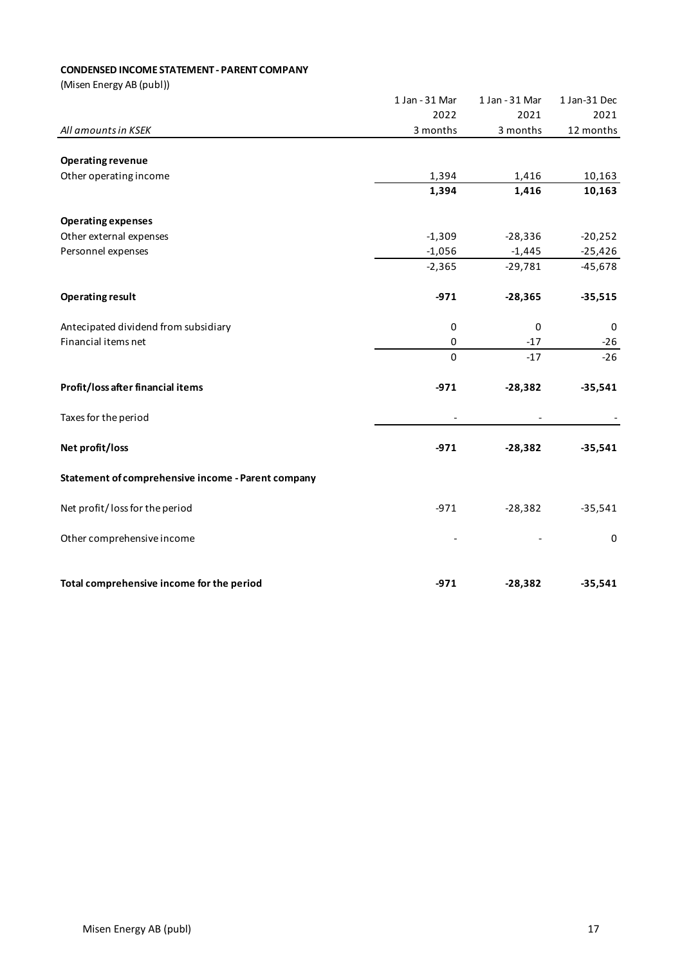## **CONDENSED INCOME STATEMENT - PARENT COMPANY**

|                                                    | 1 Jan - 31 Mar           | 1 Jan - 31 Mar | 1 Jan-31 Dec |
|----------------------------------------------------|--------------------------|----------------|--------------|
|                                                    | 2022                     | 2021           | 2021         |
| All amounts in KSEK                                | 3 months                 | 3 months       | 12 months    |
|                                                    |                          |                |              |
| <b>Operating revenue</b>                           |                          |                |              |
| Other operating income                             | 1,394                    | 1,416          | 10,163       |
|                                                    | 1,394                    | 1,416          | 10,163       |
| <b>Operating expenses</b>                          |                          |                |              |
| Other external expenses                            | $-1,309$                 | $-28,336$      | $-20,252$    |
| Personnel expenses                                 | $-1,056$                 | $-1,445$       | $-25,426$    |
|                                                    | $-2,365$                 | $-29,781$      | $-45,678$    |
| <b>Operating result</b>                            | $-971$                   | $-28,365$      | $-35,515$    |
|                                                    |                          |                |              |
| Antecipated dividend from subsidiary               | $\pmb{0}$                | 0              | 0            |
| Financial items net                                | 0                        | $-17$          | $-26$        |
|                                                    | $\Omega$                 | $-17$          | $-26$        |
| Profit/loss after financial items                  | $-971$                   | $-28,382$      | $-35,541$    |
| Taxes for the period                               | $\overline{\phantom{a}}$ |                |              |
| Net profit/loss                                    | $-971$                   | $-28,382$      | $-35,541$    |
| Statement of comprehensive income - Parent company |                          |                |              |
| Net profit/loss for the period                     | $-971$                   | $-28,382$      | $-35,541$    |
| Other comprehensive income                         |                          |                | $\pmb{0}$    |
|                                                    |                          |                |              |
| Total comprehensive income for the period          | $-971$                   | $-28,382$      | $-35,541$    |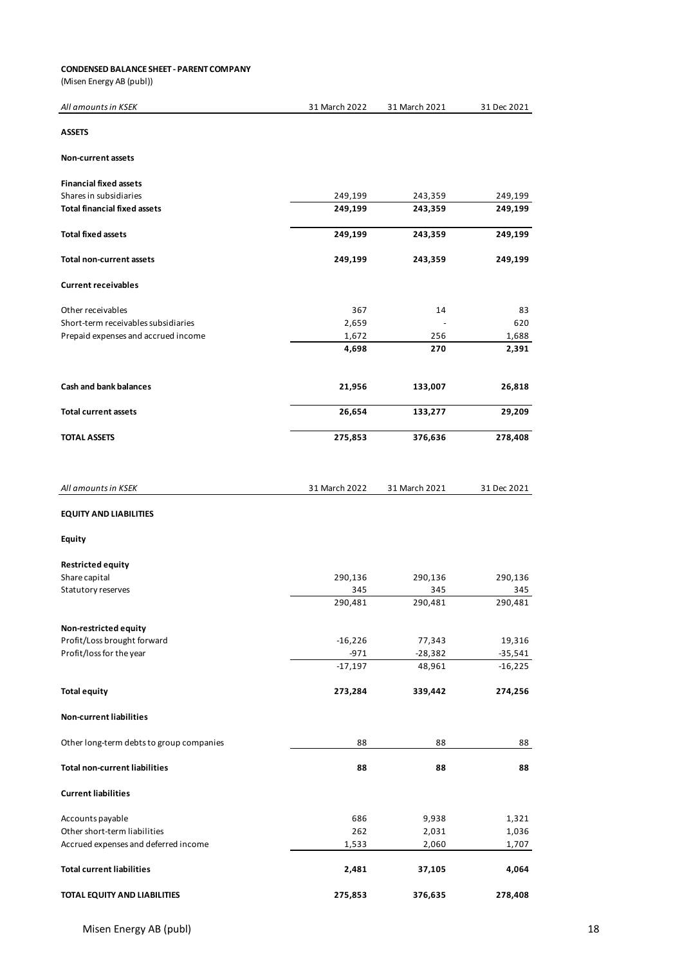#### **CONDENSED BALANCE SHEET - PARENT COMPANY**

| All amounts in KSEK                      | 31 March 2022 | 31 March 2021 | 31 Dec 2021 |
|------------------------------------------|---------------|---------------|-------------|
| <b>ASSETS</b>                            |               |               |             |
| <b>Non-current assets</b>                |               |               |             |
| <b>Financial fixed assets</b>            |               |               |             |
| Shares in subsidiaries                   | 249,199       | 243,359       | 249,199     |
| <b>Total financial fixed assets</b>      | 249,199       | 243,359       | 249,199     |
| <b>Total fixed assets</b>                | 249,199       | 243,359       | 249,199     |
| Total non-current assets                 | 249,199       | 243,359       | 249,199     |
| <b>Current receivables</b>               |               |               |             |
| Other receivables                        | 367           | 14            | 83          |
| Short-term receivables subsidiaries      | 2,659         |               | 620         |
| Prepaid expenses and accrued income      | 1,672         | 256           | 1,688       |
|                                          | 4,698         | 270           | 2,391       |
| <b>Cash and bank balances</b>            | 21,956        | 133,007       | 26,818      |
| <b>Total current assets</b>              | 26,654        | 133,277       | 29,209      |
|                                          |               |               |             |
| <b>TOTAL ASSETS</b>                      | 275,853       | 376,636       | 278,408     |
| All amounts in KSEK                      | 31 March 2022 | 31 March 2021 | 31 Dec 2021 |
| <b>EQUITY AND LIABILITIES</b>            |               |               |             |
| <b>Equity</b>                            |               |               |             |
| <b>Restricted equity</b>                 |               |               |             |
| Share capital                            | 290,136       | 290,136       | 290,136     |
| Statutory reserves                       | 345           | 345           | 345         |
|                                          | 290,481       | 290,481       | 290,481     |
| Non-restricted equity                    |               |               |             |
| Profit/Loss brought forward              | $-16,226$     | 77,343        | 19,316      |
| Profit/loss for the year                 | $-971$        | $-28,382$     | $-35,541$   |
|                                          | $-17,197$     | 48,961        | $-16,225$   |
| <b>Total equity</b>                      | 273,284       | 339,442       | 274,256     |
| <b>Non-current liabilities</b>           |               |               |             |
| Other long-term debts to group companies | 88            | 88            | 88          |
| <b>Total non-current liabilities</b>     | 88            | 88            | 88          |
| <b>Current liabilities</b>               |               |               |             |
| Accounts payable                         | 686           | 9,938         | 1,321       |
| Other short-term liabilities             | 262           | 2,031         | 1,036       |
| Accrued expenses and deferred income     | 1,533         | 2,060         | 1,707       |
| <b>Total current liabilities</b>         | 2,481         | 37,105        | 4,064       |
| TOTAL EQUITY AND LIABILITIES             | 275,853       | 376,635       | 278,408     |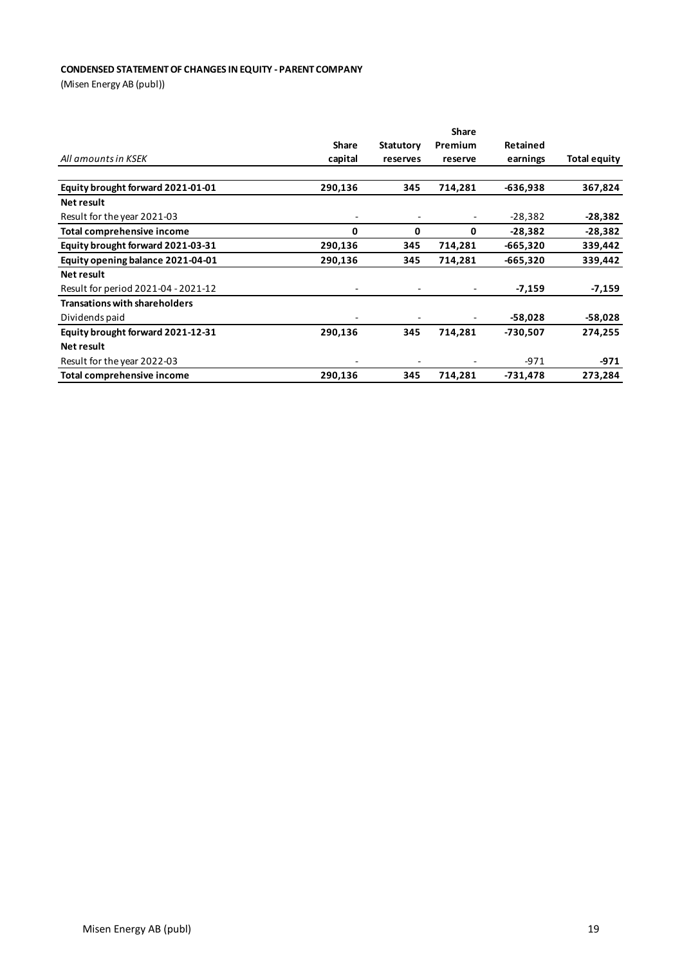## **CONDENSED STATEMENT OF CHANGES IN EQUITY - PARENT COMPANY**

|                                      | <b>Share</b> |                  |         |            |              |  |
|--------------------------------------|--------------|------------------|---------|------------|--------------|--|
|                                      | Share        | <b>Statutory</b> | Premium | Retained   |              |  |
| All amounts in KSEK                  | capital      | reserves         | reserve | earnings   | Total equity |  |
|                                      |              |                  |         |            |              |  |
| Equity brought forward 2021-01-01    | 290,136      | 345              | 714,281 | $-636,938$ | 367,824      |  |
| Net result                           |              |                  |         |            |              |  |
| Result for the year 2021-03          |              |                  |         | $-28,382$  | $-28,382$    |  |
| Total comprehensive income           | 0            | 0                | 0       | $-28,382$  | $-28,382$    |  |
| Equity brought forward 2021-03-31    | 290,136      | 345              | 714,281 | $-665,320$ | 339,442      |  |
| Equity opening balance 2021-04-01    | 290,136      | 345              | 714,281 | $-665,320$ | 339,442      |  |
| Net result                           |              |                  |         |            |              |  |
| Result for period 2021-04 - 2021-12  |              |                  |         | $-7,159$   | $-7,159$     |  |
| <b>Transations with shareholders</b> |              |                  |         |            |              |  |
| Dividends paid                       | -            |                  |         | -58,028    | $-58,028$    |  |
| Equity brought forward 2021-12-31    | 290,136      | 345              | 714,281 | -730,507   | 274,255      |  |
| Net result                           |              |                  |         |            |              |  |
| Result for the year 2022-03          |              |                  |         | $-971$     | -971         |  |
| Total comprehensive income           | 290,136      | 345              | 714,281 | $-731,478$ | 273,284      |  |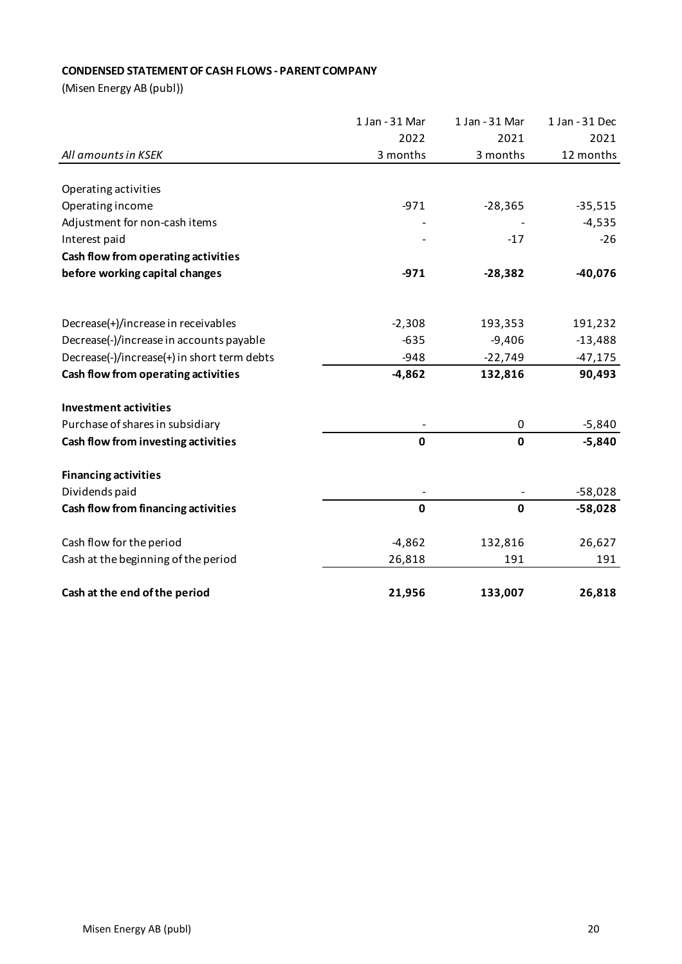## **CONDENSED STATEMENT OF CASH FLOWS - PARENT COMPANY**

|                                             | 1 Jan - 31 Mar | 1 Jan - 31 Mar | 1 Jan - 31 Dec |
|---------------------------------------------|----------------|----------------|----------------|
|                                             | 2022           | 2021           | 2021           |
| All amounts in KSEK                         | 3 months       | 3 months       | 12 months      |
|                                             |                |                |                |
| Operating activities                        |                |                |                |
| Operating income                            | $-971$         | $-28,365$      | $-35,515$      |
| Adjustment for non-cash items               |                |                | $-4,535$       |
| Interest paid                               |                | $-17$          | $-26$          |
| Cash flow from operating activities         |                |                |                |
| before working capital changes              | $-971$         | $-28,382$      | $-40,076$      |
|                                             |                |                |                |
| Decrease(+)/increase in receivables         | $-2,308$       | 193,353        | 191,232        |
| Decrease(-)/increase in accounts payable    | $-635$         | $-9,406$       | $-13,488$      |
| Decrease(-)/increase(+) in short term debts | $-948$         | $-22,749$      | $-47,175$      |
| Cash flow from operating activities         | $-4,862$       | 132,816        | 90,493         |
| <b>Investment activities</b>                |                |                |                |
| Purchase of shares in subsidiary            |                | 0              | $-5,840$       |
| Cash flow from investing activities         | $\mathbf 0$    | $\mathbf 0$    | $-5,840$       |
| <b>Financing activities</b>                 |                |                |                |
| Dividends paid                              |                |                | $-58,028$      |
| Cash flow from financing activities         | $\mathbf 0$    | $\mathbf 0$    | $-58,028$      |
| Cash flow for the period                    | $-4,862$       | 132,816        | 26,627         |
| Cash at the beginning of the period         | 26,818         | 191            | 191            |
| Cash at the end of the period               | 21,956         | 133,007        | 26,818         |